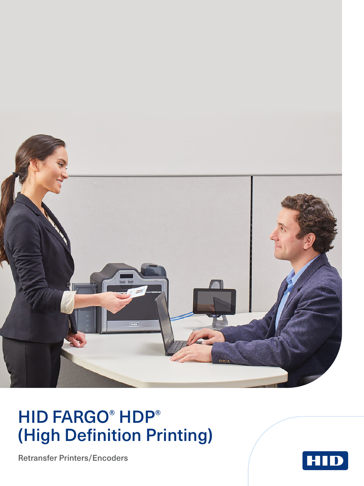

## HID FARGO® HDP® (High Definition Printing)

Retransfer Printers/Encoders

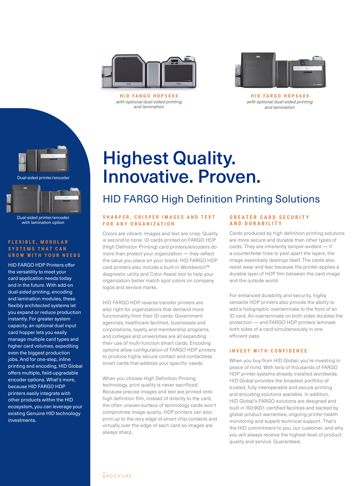

**HID FARGO HDP5000** *with optional dual-sided printing and lamination*



**HID FARGO HDP6600** *with optional dual-sided printing and lamination*





with lamination option

### **F L E X I B L E , M O D U L A R S Y S T E M S T H A T C A N GROW WITH YOUR NEEDS**

HID FARGO HDP Printers offer the versatility to meet your card application needs today and in the future. With add-on dual-sided printing, encoding and lamination modules, these flexibly architected systems let you expand or reduce production instantly. For greater system capacity, an optional dual input card hopper lets you easily manage multiple card types and higher card volumes, expediting even the biggest production jobs. And for one-step, inline printing and encoding, HID Global offers multiple, field-upgradable encoder options. What's more, because HID FARGO HDP printers easily integrate with other products within the HID ecosystem, you can leverage your existing Genuine HID technology investments.

## Highest Quality. Innovative. Proven.

### HID FARGO High Definition Printing Solutions

### SHARPER, CRISPER IMAGES AND TEXT **FOR ANY ORGANIZATION**

Colors are vibrant. Images and text are crisp. Quality is second to none. ID cards printed on FARGO HDP (High Definition Printing) card printers/encoders do more than protect your organization — they reflect the value you place on your brand. HID FARGO HDP card printers also include a built-in Workbench™ diagnostic utility and Color Assist tool to help your organization better match spot colors on company logos and service marks.

HID FARGO HDP reverse transfer printers are also right for organizations that demand more functionality from their ID cards. Government agencies, healthcare facilities, businesses and corporations, loyalty and membership programs, and colleges and universities are all expanding their use of multi-function smart cards. Encoding options allow configuration of FARGO HDP printers to produce highly secure contact and contactless smart cards that address your specific needs.

When you choose High Definition Printing technology, print quality is never sacrificed. Because precise images and text are printed onto high definition film, instead of directly to the card, the often uneven surface of technology cards won't compromise image quality. HDP printers can also print up to the very edge of smart chip contacts and virtually over the edge of each card so images are always sharp.

### **GREATER CARD SECURITY AND DURABILITY**

Cards produced by high definition printing solutions are more secure and durable than other types of cards. They are inherently tamper-evident — if a counterfeiter tries to peel apart the layers, the image essentially destroys itself. The cards also resist wear and tear because the printer applies a durable layer of HDP film between the card image and the outside world.

For enhanced durability and security, highly versatile HDP printers also provide the ability to add a holographic overlaminate to the front of an ID card. An overlaminate on both sides doubles the protection — and FARGO HDP printers laminate both sides of a card simultaneously in one efficient pass.

### **INVEST WITH CONFIDENCE**

When you buy from HID Global, you're investing in peace of mind. With tens of thousands of FARGO HDP printer systems already installed worldwide, HID Global provides the broadest portfolio of trusted, fully interoperable and secure printing and encoding solutions available. In addition, HID Global's FARGO solutions are designed and built in IS0:9001-certified facilities and backed by global product warranties, ongoing printer health monitoring and superb technical support. That's the HID commitment to you, our customer, and why you will always receive the highest level of product quality and service. Guaranteed.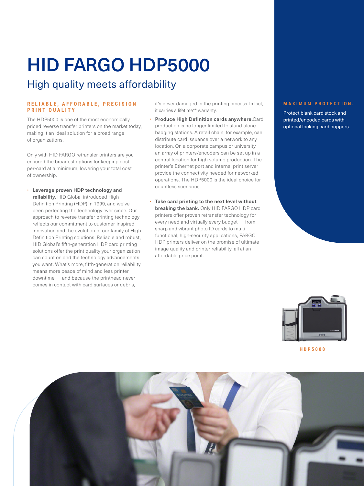# HID FARGO HDP5000

### High quality meets affordability

### **R E L I A B L E , A F F O R A B L E , P R E C I S I O N PRINT QUALITY**

The HDP5000 is one of the most economically priced reverse transfer printers on the market today, making it an ideal solution for a broad range of organizations.

Only with HID FARGO retransfer printers are you ensured the broadest options for keeping costper-card at a minimum, lowering your total cost of ownership.

• **Leverage proven HDP technology and reliability.** HID Global introduced High Definition Printing (HDP) in 1999, and we've been perfecting the technology ever since. Our approach to reverse transfer printing technology reflects our commitment to customer-inspired innovation and the evolution of our family of High Definition Printing solutions. Reliable and robust, HID Global's fifth-generation HDP card printing solutions offer the print quality your organization can count on and the technology advancements you want. What's more, fifth-generation reliability means more peace of mind and less printer downtime — and because the printhead never comes in contact with card surfaces or debris,

it's never damaged in the printing process. In fact, it carries a lifetime\*\* warranty.

- **Produce High Definition cards anywhere.**Card production is no longer limited to stand-alone badging stations. A retail chain, for example, can distribute card issuance over a network to any location. On a corporate campus or university, an array of printers/encoders can be set up in a central location for high-volume production. The printer's Ethernet port and internal print server provide the connectivity needed for networked operations. The HDP5000 is the ideal choice for countless scenarios.
- **Take card printing to the next level without breaking the bank.** Only HID FARGO HDP card printers offer proven retransfer technology for every need and virtually every budget — from sharp and vibrant photo ID cards to multifunctional, high-security applications, FARGO HDP printers deliver on the promise of ultimate image quality and printer reliability, all at an affordable price point.

### **M A X I M U M P R O T E C T I O N .**

Protect blank card stock and printed/encoded cards with optional locking card hoppers.



**HDP5000**

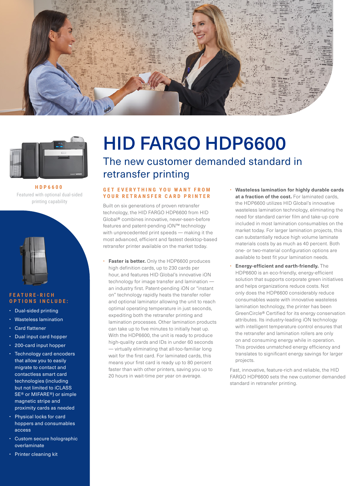



**HDP6600** Featured with optional dual-sided printing capability



#### **F E A T U R E - R I C H OPTIONS INCLUDE:**

- Dual-sided printing
- Wasteless lamination
- Card flattener
- Dual input card hopper
- 200-card input hopper
- Technology card encoders that allow you to easily migrate to contact and contactless smart card technologies (including but not limited to iCLASS SE® or MIFARE®) or simple magnetic stripe and proximity cards as needed
- Physical locks for card hoppers and consumables access
- Custom secure holographic overlaminate
- Printer cleaning kit

# HID FARGO HDP6600

The new customer demanded standard in retransfer printing

### **GET EVERYTHING YOU WANT FROM YOUR RETRANSFER CARD PRINTER**

Built on six generations of proven retransfer technology, the HID FARGO HDP6600 from HID Global® combines innovative, never-seen-before features and patent-pending iON™ technology with unprecedented print speeds — making it the most advanced, efficient and fastest desktop-based retransfer printer available on the market today.

- **Faster is better.** Only the HDP6600 produces high definition cards, up to 230 cards per hour, and features HID Global's innovative iON technology for image transfer and lamination an industry first. Patent-pending iON or "instant on" technology rapidly heats the transfer roller and optional laminator allowing the unit to reach optimal operating temperature in just seconds, expediting both the retransfer printing and lamination processes. Other lamination products can take up to five minutes to initially heat up. With the HDP6600, the unit is ready to produce high-quality cards and IDs in under 60 seconds — virtually eliminating that all-too-familiar long wait for the first card. For laminated cards, this means your first card is ready up to 80 percent faster than with other printers, saving you up to 20 hours in wait-time per year on average.
- **Wasteless lamination for highly durable cards at a fraction of the cost.** For laminated cards, the HDP6600 utilizes HID Global's innovative wasteless lamination technology, eliminating the need for standard carrier film and take-up core included in most lamination consumables on the market today. For larger lamination projects, this can substantially reduce high volume laminate materials costs by as much as 40 percent. Both one- or two-material configuration options are available to best fit your lamination needs.
- **Energy-efficient and earth-friendly.** The HDP6600 is an eco-friendly, energy-efficient solution that supports corporate green initiatives and helps organizations reduce costs. Not only does the HDP6600 considerably reduce consumables waste with innovative wasteless lamination technology, the printer has been GreenCircle® Certified for its energy conservation attributes. Its industry-leading iON technology with intelligent temperature control ensures that the retransfer and lamination rollers are only on and consuming energy while in operation. This provides unmatched energy efficiency and translates to significant energy savings for larger projects.

Fast, innovative, feature-rich and reliable, the HID FARGO HDP6600 sets the new customer demanded standard in retransfer printing.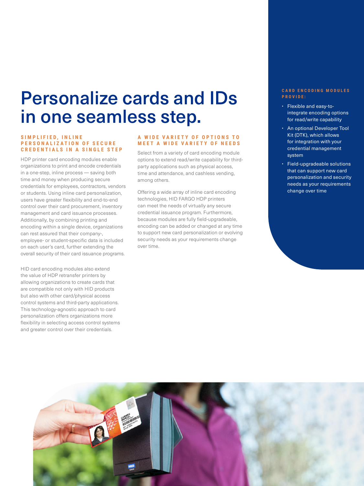## Personalize cards and IDs in one seamless step.

### **S I M P L I F I E D , I N L I N E P E R S O N A L I Z A T I O N O F S E C U R E CREDENTIALS IN A SINGLE STEP**

HDP printer card encoding modules enable organizations to print and encode credentials in a one-step, inline process — saving both time and money when producing secure credentials for employees, contractors, vendors or students. Using inline card personalization, users have greater flexibility and end-to-end control over their card procurement, inventory management and card issuance processes. Additionally, by combining printing and encoding within a single device, organizations can rest assured that their company-, employee- or student-specific data is included on each user's card, further extending the overall security of their card issuance programs.

HID card encoding modules also extend the value of HDP retransfer printers by allowing organizations to create cards that are compatible not only with HID products but also with other card/physical access control systems and third-party applications. This technology-agnostic approach to card personalization offers organizations more flexibility in selecting access control systems and greater control over their credentials.

### **A W I D E V A R I E T Y O F O P T I O N S T O MEET A WIDE VARIETY OF NEEDS**

Select from a variety of card encoding module options to extend read/write capability for thirdparty applications such as physical access, time and attendance, and cashless vending, among others.

Offering a wide array of inline card encoding technologies, HID FARGO HDP printers can meet the needs of virtually any secure credential issuance program. Furthermore, because modules are fully field-upgradeable, encoding can be added or changed at any time to support new card personalization or evolving security needs as your requirements change over time.

### **C A R D E N C O D I N G M O D U L E S PROVIDE:**

- Flexible and easy-tointegrate encoding options for read/write capability
- An optional Developer Tool Kit (DTK), which allows for integration with your credential management system
- Field-upgradeable solutions that can support new card personalization and security needs as your requirements change over time

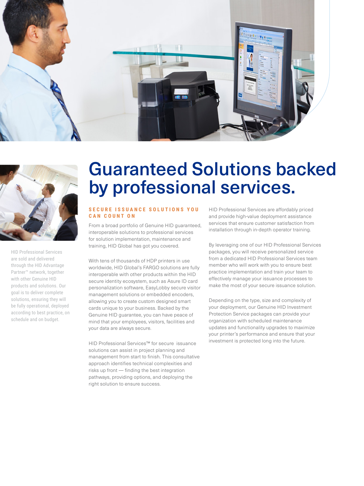



HID Professional Services are sold and delivered through the HID Advantage Partner™ network, together with other Genuine HID products and solutions. Our goal is to deliver complete solutions, ensuring they will be fully operational, deployed according to best practice, on schedule and on budget.

## Guaranteed Solutions backed by professional services.

### **S E C U R E I S S U A N C E S O L U T I O N S Y O U CAN COUNT ON**

From a broad portfolio of Genuine HID guaranteed, interoperable solutions to professional services for solution implementation, maintenance and training, HID Global has got you covered.

With tens of thousands of HDP printers in use worldwide, HID Global's FARGO solutions are fully interoperable with other products within the HID secure identity ecosystem, such as Asure ID card personalization software, EasyLobby secure visitor management solutions or embedded encoders, allowing you to create custom designed smart cards unique to your business. Backed by the Genuine HID guarantee, you can have peace of mind that your employees, visitors, facilities and your data are always secure.

HID Professional Services™ for secure issuance solutions can assist in project planning and management from start to finish. This consultative approach identifies technical complexities and risks up front — finding the best integration pathways, providing options, and deploying the right solution to ensure success.

HID Professional Services are affordably priced and provide high-value deployment assistance services that ensure customer satisfaction from installation through in-depth operator training.

By leveraging one of our HID Professional Services packages, you will receive personalized service from a dedicated HID Professional Services team member who will work with you to ensure best practice implementation and train your team to effectively manage your issuance processes to make the most of your secure issuance solution.

Depending on the type, size and complexity of your deployment, our Genuine HID Investment Protection Service packages can provide your organization with scheduled maintenance updates and functionality upgrades to maximize your printer's performance and ensure that your investment is protected long into the future.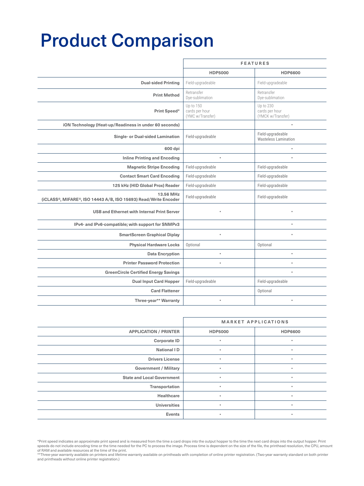## Product Comparison

|                                                                              | <b>FEATURES</b>                                 |                                                  |
|------------------------------------------------------------------------------|-------------------------------------------------|--------------------------------------------------|
|                                                                              | <b>HDP5000</b>                                  | <b>HDP6600</b>                                   |
| <b>Dual-sided Printing</b>                                                   | Field-upgradeable                               | Field-upgradeable                                |
| <b>Print Method</b>                                                          | Retransfer<br>Dye-sublimation                   | Retransfer<br>Dye-sublimation                    |
| Print Speed*                                                                 | Up to 150<br>cards per hour<br>(YMC w/Transfer) | Up to 230<br>cards per hour<br>(YMCK w/Transfer) |
| iON Technology (Heat-up/Readiness in under 60 seconds)                       |                                                 |                                                  |
| Single- or Dual-sided Lamination                                             | Field-upgradeable                               | Field-upgradeable<br><b>Wasteless Lamination</b> |
| 600 dpi                                                                      |                                                 | $\bullet$                                        |
| <b>Inline Printing and Encoding</b>                                          | ٠                                               |                                                  |
| <b>Magnetic Stripe Encoding</b>                                              | Field-upgradeable                               | Field-upgradeable                                |
| <b>Contact Smart Card Encoding</b>                                           | Field-upgradeable                               | Field-upgradeable                                |
| 125 kHz (HID Global Prox) Reader                                             | Field-upgradeable                               | Field-upgradeable                                |
| 13.56 MHz<br>(iCLASS®, MIFARE®, ISO 14443 A/B, ISO 15693) Read/Write Encoder | Field-upgradeable                               | Field-upgradeable                                |
| <b>USB and Ethernet with Internal Print Server</b>                           |                                                 | ٠                                                |
| IPv4- and IPv6-compatible; with support for SNMPv3                           |                                                 | ٠                                                |
| <b>SmartScreen Graphical Diplay</b>                                          |                                                 |                                                  |
| <b>Physical Hardware Locks</b>                                               | Optional                                        | Optional                                         |
| <b>Data Encryption</b>                                                       | ٠                                               | ٠                                                |
| <b>Printer Password Protection</b>                                           | ٠                                               | ٠                                                |
| <b>GreenCircle Certified Energy Savings</b>                                  |                                                 | ٠                                                |
| <b>Dual Input Card Hopper</b>                                                | Field-upgradeable                               | Field-upgradeable                                |
| <b>Card Flattener</b>                                                        |                                                 | Optional                                         |
| Three-year** Warranty                                                        |                                                 |                                                  |

|                                   | <b>MARKET APPLICATIONS</b> |                |
|-----------------------------------|----------------------------|----------------|
| <b>APPLICATION / PRINTER</b>      | <b>HDP5000</b>             | <b>HDP6600</b> |
| <b>Corporate ID</b>               | ٠                          | ٠              |
| National ID                       | ٠                          | $\bullet$      |
| <b>Drivers License</b>            | ٠                          | ٠              |
| <b>Government / Military</b>      |                            | $\bullet$      |
| <b>State and Local Government</b> | ٠                          | $\bullet$      |
| Transportation                    | ٠                          | ٠              |
| Healthcare                        | ٠                          | ٠              |
| <b>Universities</b>               | ٠                          | $\bullet$      |
| Events                            | ٠                          | $\bullet$      |

\*Print speed indicates an approximate print speed and is measured from the time a card drops into the output hopper to the time the next card drops into the output hopper. Print<br>speeds do not include encoding time or the e

<sup>\*\*</sup>Three-year warranty available on printers and lifetime warranty available on printheads with completion of online printer registration. (Two-year warranty standard on both printer and printheads without online printer registration.)